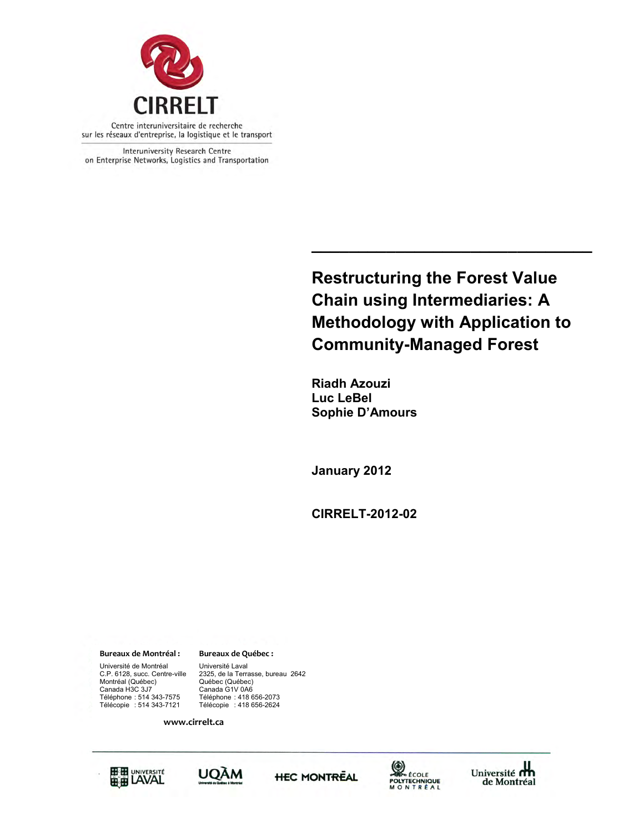

Interuniversity Research Centre on Enterprise Networks, Logistics and Transportation

> **Restructuring the Forest Value Chain using Intermediaries: A Methodology with Application to Community-Managed Forest**

**\_\_\_\_\_\_\_\_\_\_\_\_\_\_\_\_\_\_\_\_\_\_\_\_\_\_\_\_\_\_**

**Riadh Azouzi Luc LeBel Sophie D'Amours** 

**January 2012**

**CIRRELT-2012-02**

**Bureaux de Montréal : Bureaux de Québec :**

Université de Montréal Université Laval<br>C.P. 6128, succ. Centre-ville 2325, de la Terra Montréal (Québec)<br>Canada H3C 3J7 Canada H3C 3J7 Canada G1V 0A6 Télécopie : 514 343-7121 Télécopie : 418 656-2624

Canada G1V 0A6 2325, de la Terrasse, bureau 2642<br>Québec (Québec) Téléphone : 514 343-7575 Téléphone : 418 656-2073

**www.cirrelt.ca** 







Université<br>de Montréel de Montréal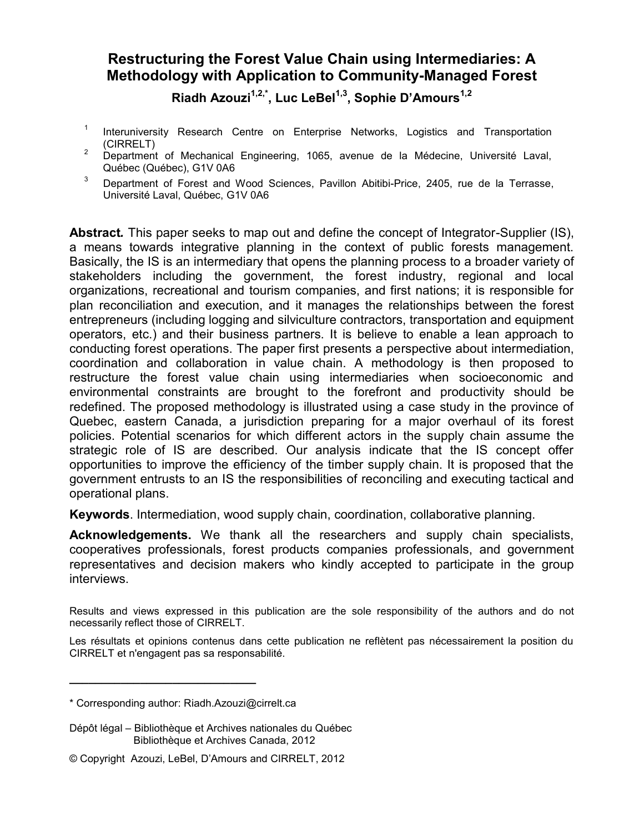# **Restructuring the Forest Value Chain using Intermediaries: A Methodology with Application to Community-Managed Forest**

**Riadh Azouzi1,2,\* , Luc LeBel1,3 , Sophie D'Amours1,2**

- 1 Interuniversity Research Centre on Enterprise Networks, Logistics and Transportation (CIRRELT)
- <sup>2</sup> Department of Mechanical Engineering, 1065, avenue de la Médecine, Université Laval, Québec (Québec), G1V 0A6
- $3$  Department of Forest and Wood Sciences, Pavillon Abitibi-Price, 2405, rue de la Terrasse, Université Laval, Québec, G1V 0A6

**Abstract***.* This paper seeks to map out and define the concept of Integrator-Supplier (IS), a means towards integrative planning in the context of public forests management. Basically, the IS is an intermediary that opens the planning process to a broader variety of stakeholders including the government, the forest industry, regional and local organizations, recreational and tourism companies, and first nations; it is responsible for plan reconciliation and execution, and it manages the relationships between the forest entrepreneurs (including logging and silviculture contractors, transportation and equipment operators, etc.) and their business partners. It is believe to enable a lean approach to conducting forest operations. The paper first presents a perspective about intermediation, coordination and collaboration in value chain. A methodology is then proposed to restructure the forest value chain using intermediaries when socioeconomic and environmental constraints are brought to the forefront and productivity should be redefined. The proposed methodology is illustrated using a case study in the province of Quebec, eastern Canada, a jurisdiction preparing for a major overhaul of its forest policies. Potential scenarios for which different actors in the supply chain assume the strategic role of IS are described. Our analysis indicate that the IS concept offer opportunities to improve the efficiency of the timber supply chain. It is proposed that the government entrusts to an IS the responsibilities of reconciling and executing tactical and operational plans.

**Keywords**. Intermediation, wood supply chain, coordination, collaborative planning.

**Acknowledgements.** We thank all the researchers and supply chain specialists, cooperatives professionals, forest products companies professionals, and government representatives and decision makers who kindly accepted to participate in the group interviews.

Results and views expressed in this publication are the sole responsibility of the authors and do not necessarily reflect those of CIRRELT.

Les résultats et opinions contenus dans cette publication ne reflètent pas nécessairement la position du CIRRELT et n'engagent pas sa responsabilité.

**\_\_\_\_\_\_\_\_\_\_\_\_\_\_\_\_\_\_\_\_\_\_\_\_\_\_\_\_\_**

<sup>\*</sup> Corresponding author: Riadh.Azouzi@cirrelt.ca

Dépôt légal – Bibliothèque et Archives nationales du Québec Bibliothèque et Archives Canada, 2012

<sup>©</sup> Copyright Azouzi, LeBel, D'Amours and CIRRELT, 2012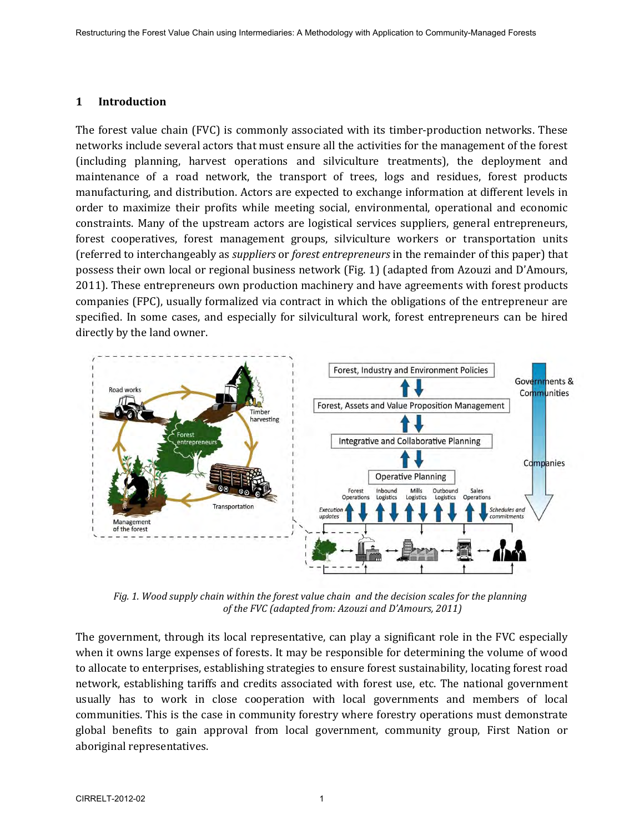### **1 Introduction**

The forest value chain (FVC) is commonly associated with its timber-production networks. These networks include several actors that must ensure all the activities for the management of the forest (including planning, harvest operations and silviculture treatments), the deployment and maintenance of a road network, the transport of trees, logs and residues, forest products manufacturing, and distribution. Actors are expected to exchange information at different levels in order to maximize their profits while meeting social, environmental, operational and economic constraints. Many of the upstream actors are logistical services suppliers, general entrepreneurs, forest cooperatives, forest management groups, silviculture workers or transportation units (referred to interchangeably as *suppliers* or *forest entrepreneurs* in the remainder of this paper) that possess their own local or regional business network (Fig. 1) (adapted from Azouzi and D'Amours, 2011). These entrepreneurs own production machinery and have agreements with forest products companies (FPC), usually formalized via contract in which the obligations of the entrepreneur are specified. In some cases, and especially for silvicultural work, forest entrepreneurs can be hired directly by the land owner.



*Fig. 1. Wood supply chain within the forest value chain and the decision scales for the planning of the FVC (adapted from: Azouzi and D'Amours, 2011)*

The government, through its local representative, can play a significant role in the FVC especially when it owns large expenses of forests. It may be responsible for determining the volume of wood to allocate to enterprises, establishing strategies to ensure forest sustainability, locating forest road network, establishing tariffs and credits associated with forest use, etc. The national government usually has to work in close cooperation with local governments and members of local communities. This is the case in community forestry where forestry operations must demonstrate global benefits to gain approval from local government, community group, First Nation or aboriginal representatives.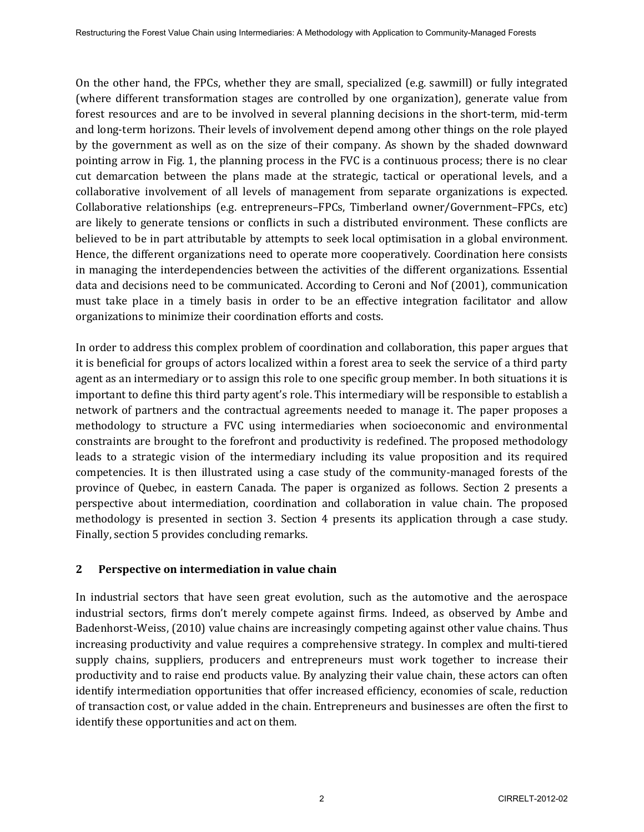On the other hand, the FPCs, whether they are small, specialized (e.g. sawmill) or fully integrated (where different transformation stages are controlled by one organization), generate value from forest resources and are to be involved in several planning decisions in the short-term, mid-term and long-term horizons. Their levels of involvement depend among other things on the role played by the government as well as on the size of their company. As shown by the shaded downward pointing arrow in Fig. 1, the planning process in the FVC is a continuous process; there is no clear cut demarcation between the plans made at the strategic, tactical or operational levels, and a collaborative involvement of all levels of management from separate organizations is expected. Collaborative relationships (e.g. entrepreneurs–FPCs, Timberland owner/Government–FPCs, etc) are likely to generate tensions or conflicts in such a distributed environment. These conflicts are believed to be in part attributable by attempts to seek local optimisation in a global environment. Hence, the different organizations need to operate more cooperatively. Coordination here consists in managing the interdependencies between the activities of the different organizations. Essential data and decisions need to be communicated. According to Ceroni and Nof (2001), communication must take place in a timely basis in order to be an effective integration facilitator and allow organizations to minimize their coordination efforts and costs.

In order to address this complex problem of coordination and collaboration, this paper argues that it is beneficial for groups of actors localized within a forest area to seek the service of a third party agent as an intermediary or to assign this role to one specific group member. In both situations it is important to define this third party agent's role. This intermediary will be responsible to establish a network of partners and the contractual agreements needed to manage it. The paper proposes a methodology to structure a FVC using intermediaries when socioeconomic and environmental constraints are brought to the forefront and productivity is redefined. The proposed methodology leads to a strategic vision of the intermediary including its value proposition and its required competencies. It is then illustrated using a case study of the community-managed forests of the province of Quebec, in eastern Canada. The paper is organized as follows. Section 2 presents a perspective about intermediation, coordination and collaboration in value chain. The proposed methodology is presented in section 3. Section 4 presents its application through a case study. Finally, section 5 provides concluding remarks.

# **2 Perspective on intermediation in value chain**

In industrial sectors that have seen great evolution, such as the automotive and the aerospace industrial sectors, firms don't merely compete against firms. Indeed, as observed by Ambe and Badenhorst-Weiss, (2010) value chains are increasingly competing against other value chains. Thus increasing productivity and value requires a comprehensive strategy. In complex and multi-tiered supply chains, suppliers, producers and entrepreneurs must work together to increase their productivity and to raise end products value. By analyzing their value chain, these actors can often identify intermediation opportunities that offer increased efficiency, economies of scale, reduction of transaction cost, or value added in the chain. Entrepreneurs and businesses are often the first to identify these opportunities and act on them.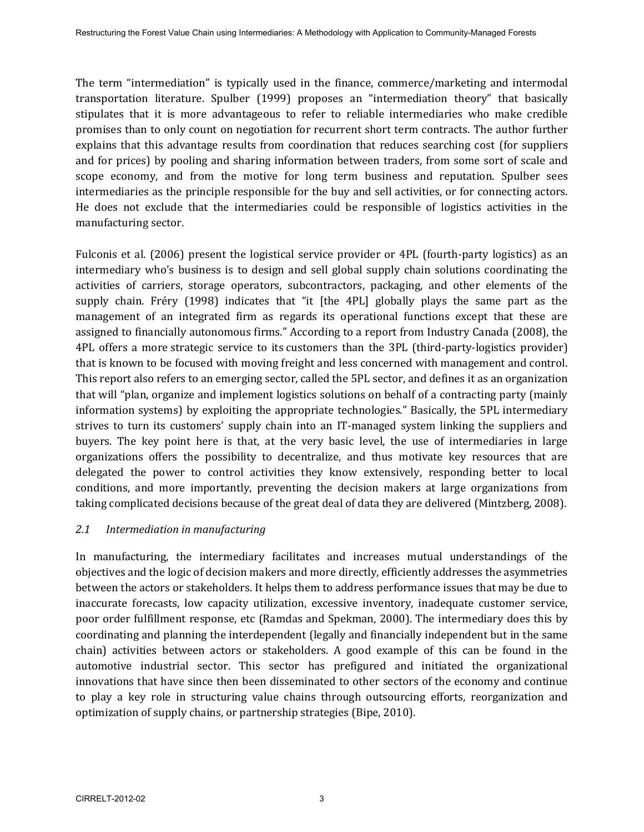The term "intermediation" is typically used in the finance, commerce/marketing and intermodal transportation literature. Spulber (1999) proposes an "intermediation theory" that basically stipulates that it is more advantageous to refer to reliable intermediaries who make credible promises than to only count on negotiation for recurrent short term contracts. The author further explains that this advantage results from coordination that reduces searching cost (for suppliers and for prices) by pooling and sharing information between traders, from some sort of scale and scope economy, and from the motive for long term business and reputation. Spulber sees intermediaries as the principle responsible for the buy and sell activities, or for connecting actors. He does not exclude that the intermediaries could be responsible of logistics activities in the manufacturing sector.

Fulconis et al. (2006) present the logistical service provider or 4PL (fourth-party logistics) as an intermediary who's business is to design and sell global supply chain solutions coordinating the activities of carriers, storage operators, subcontractors, packaging, and other elements of the supply chain. Fréry (1998) indicates that "it [the 4PL] globally plays the same part as the management of an integrated firm as regards its operational functions except that these are assigned to financially autonomous firms." According to a report from Industry Canada (2008), the 4PL offers a more strategic service to its customers than the 3PL (third-party-logistics provider) that is known to be focused with moving freight and less concerned with management and control. This report also refers to an emerging sector, called the 5PL sector, and defines it as an organization that will "plan, organize and implement logistics solutions on behalf of a contracting party (mainly information systems) by exploiting the appropriate technologies." Basically, the 5PL intermediary strives to turn its customers' supply chain into an IT-managed system linking the suppliers and buyers. The key point here is that, at the very basic level, the use of intermediaries in large organizations offers the possibility to decentralize, and thus motivate key resources that are delegated the power to control activities they know extensively, responding better to local conditions, and more importantly, preventing the decision makers at large organizations from taking complicated decisions because of the great deal of data they are delivered (Mintzberg, 2008).

### *2.1 Intermediation in manufacturing*

In manufacturing, the intermediary facilitates and increases mutual understandings of the objectives and the logic of decision makers and more directly, efficiently addresses the asymmetries between the actors or stakeholders. It helps them to address performance issues that may be due to inaccurate forecasts, low capacity utilization, excessive inventory, inadequate customer service, poor order fulfillment response, etc (Ramdas and Spekman, 2000). The intermediary does this by coordinating and planning the interdependent (legally and financially independent but in the same chain) activities between actors or stakeholders. A good example of this can be found in the automotive industrial sector. This sector has prefigured and initiated the organizational innovations that have since then been disseminated to other sectors of the economy and continue to play a key role in structuring value chains through outsourcing efforts, reorganization and optimization of supply chains, or partnership strategies (Bipe, 2010).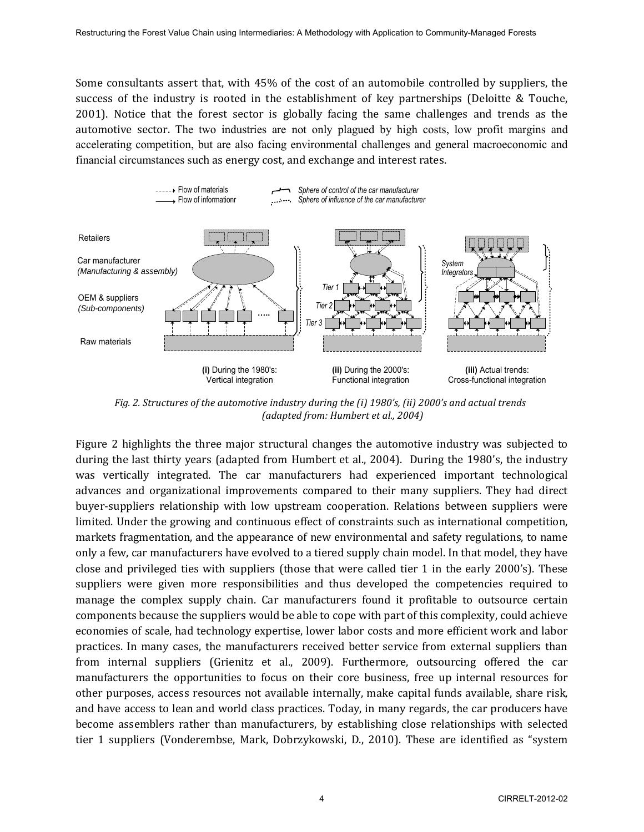Some consultants assert that, with 45% of the cost of an automobile controlled by suppliers, the success of the industry is rooted in the establishment of key partnerships (Deloitte & Touche, 2001). Notice that the forest sector is globally facing the same challenges and trends as the automotive sector. The two industries are not only plagued by high costs, low profit margins and accelerating competition, but are also facing environmental challenges and general macroeconomic and financial circumstances such as energy cost, and exchange and interest rates.



*Fig. 2. Structures of the automotive industry during the (i) 1980's, (ii) 2000's and actual trends (adapted from: Humbert et al., 2004)* 

Figure 2 highlights the three major structural changes the automotive industry was subjected to during the last thirty years (adapted from Humbert et al., 2004). During the 1980's, the industry was vertically integrated. The car manufacturers had experienced important technological advances and organizational improvements compared to their many suppliers. They had direct buyer-suppliers relationship with low upstream cooperation. Relations between suppliers were limited. Under the growing and continuous effect of constraints such as international competition, markets fragmentation, and the appearance of new environmental and safety regulations, to name only a few, car manufacturers have evolved to a tiered supply chain model. In that model, they have close and privileged ties with suppliers (those that were called tier 1 in the early 2000's). These suppliers were given more responsibilities and thus developed the competencies required to manage the complex supply chain. Car manufacturers found it profitable to outsource certain components because the suppliers would be able to cope with part of this complexity, could achieve economies of scale, had technology expertise, lower labor costs and more efficient work and labor practices. In many cases, the manufacturers received better service from external suppliers than from internal suppliers (Grienitz et al., 2009). Furthermore, outsourcing offered the car manufacturers the opportunities to focus on their core business, free up internal resources for other purposes, access resources not available internally, make capital funds available, share risk, and have access to lean and world class practices. Today, in many regards, the car producers have become assemblers rather than manufacturers, by establishing close relationships with selected tier 1 suppliers (Vonderembse, Mark, Dobrzykowski, D., 2010). These are identified as "system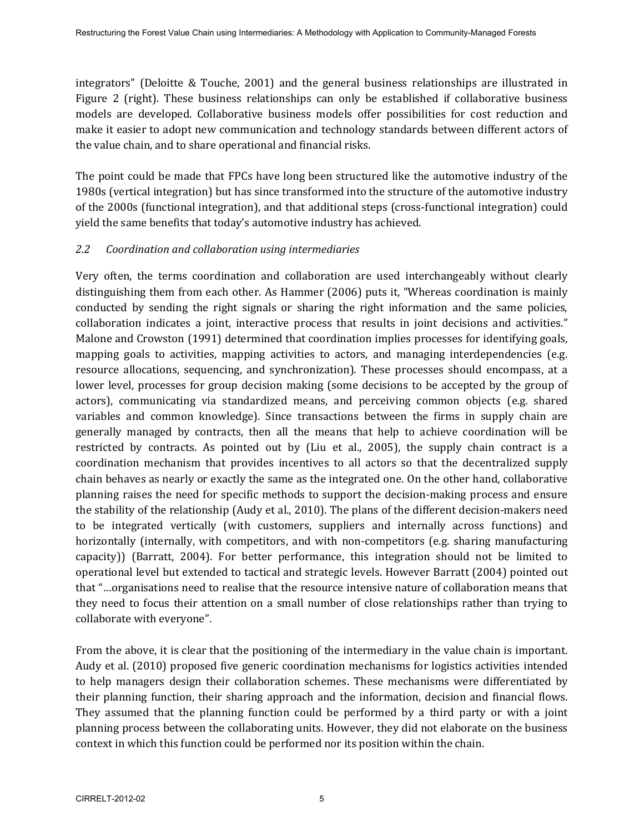integrators" (Deloitte & Touche, 2001) and the general business relationships are illustrated in Figure 2 (right). These business relationships can only be established if collaborative business models are developed. Collaborative business models offer possibilities for cost reduction and make it easier to adopt new communication and technology standards between different actors of the value chain, and to share operational and financial risks.

The point could be made that FPCs have long been structured like the automotive industry of the 1980s (vertical integration) but has since transformed into the structure of the automotive industry of the 2000s (functional integration), and that additional steps (cross-functional integration) could yield the same benefits that today's automotive industry has achieved.

### *2.2 Coordination and collaboration using intermediaries*

Very often, the terms coordination and collaboration are used interchangeably without clearly distinguishing them from each other. As Hammer (2006) puts it, "Whereas coordination is mainly conducted by sending the right signals or sharing the right information and the same policies, collaboration indicates a joint, interactive process that results in joint decisions and activities." Malone and Crowston (1991) determined that coordination implies processes for identifying goals, mapping goals to activities, mapping activities to actors, and managing interdependencies (e.g. resource allocations, sequencing, and synchronization). These processes should encompass, at a lower level, processes for group decision making (some decisions to be accepted by the group of actors), communicating via standardized means, and perceiving common objects (e.g. shared variables and common knowledge). Since transactions between the firms in supply chain are generally managed by contracts, then all the means that help to achieve coordination will be restricted by contracts. As pointed out by (Liu et al., 2005), the supply chain contract is a coordination mechanism that provides incentives to all actors so that the decentralized supply chain behaves as nearly or exactly the same as the integrated one. On the other hand, collaborative planning raises the need for specific methods to support the decision-making process and ensure the stability of the relationship (Audy et al., 2010). The plans of the different decision-makers need to be integrated vertically (with customers, suppliers and internally across functions) and horizontally (internally, with competitors, and with non-competitors (e.g. sharing manufacturing capacity)) (Barratt, 2004). For better performance, this integration should not be limited to operational level but extended to tactical and strategic levels. However Barratt (2004) pointed out that "…organisations need to realise that the resource intensive nature of collaboration means that they need to focus their attention on a small number of close relationships rather than trying to collaborate with everyone".

From the above, it is clear that the positioning of the intermediary in the value chain is important. Audy et al. (2010) proposed five generic coordination mechanisms for logistics activities intended to help managers design their collaboration schemes. These mechanisms were differentiated by their planning function, their sharing approach and the information, decision and financial flows. They assumed that the planning function could be performed by a third party or with a joint planning process between the collaborating units. However, they did not elaborate on the business context in which this function could be performed nor its position within the chain.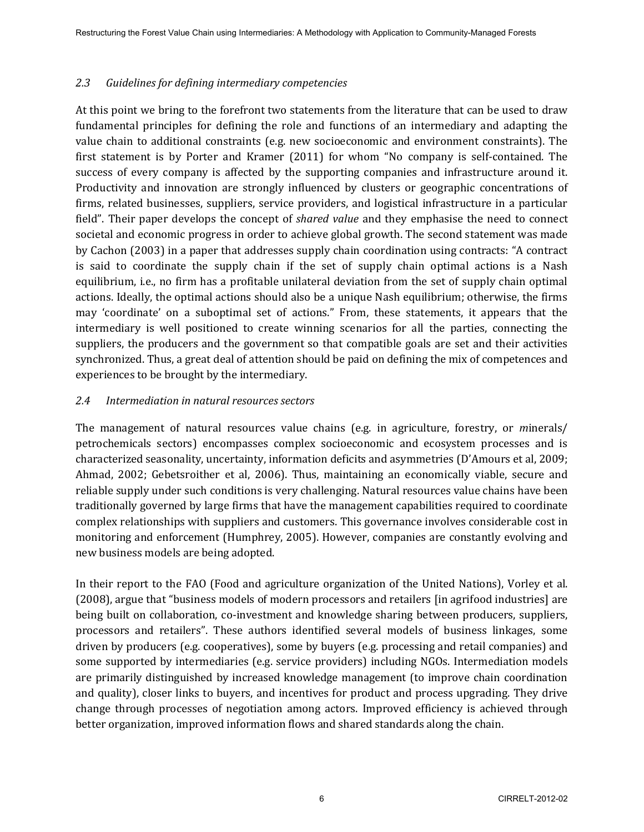### *2.3 Guidelines for defining intermediary competencies*

At this point we bring to the forefront two statements from the literature that can be used to draw fundamental principles for defining the role and functions of an intermediary and adapting the value chain to additional constraints (e.g. new socioeconomic and environment constraints). The first statement is by Porter and Kramer (2011) for whom "No company is self-contained. The success of every company is affected by the supporting companies and infrastructure around it. Productivity and innovation are strongly influenced by clusters or geographic concentrations of firms, related businesses, suppliers, service providers, and logistical infrastructure in a particular field". Their paper develops the concept of *shared value* and they emphasise the need to connect societal and economic progress in order to achieve global growth. The second statement was made by Cachon (2003) in a paper that addresses supply chain coordination using contracts: "A contract is said to coordinate the supply chain if the set of supply chain optimal actions is a Nash equilibrium, i.e., no firm has a profitable unilateral deviation from the set of supply chain optimal actions. Ideally, the optimal actions should also be a unique Nash equilibrium; otherwise, the firms may 'coordinate' on a suboptimal set of actions." From, these statements, it appears that the intermediary is well positioned to create winning scenarios for all the parties, connecting the suppliers, the producers and the government so that compatible goals are set and their activities synchronized. Thus, a great deal of attention should be paid on defining the mix of competences and experiences to be brought by the intermediary.

### *2.4 Intermediation in natural resources sectors*

The management of natural resources value chains (e.g. in agriculture, forestry, or *m*inerals/ petrochemicals sectors) encompasses complex socioeconomic and ecosystem processes and is characterized seasonality, uncertainty, information deficits and asymmetries (D'Amours et al, 2009; Ahmad, 2002; Gebetsroither et al, 2006). Thus, maintaining an economically viable, secure and reliable supply under such conditions is very challenging. Natural resources value chains have been traditionally governed by large firms that have the management capabilities required to coordinate complex relationships with suppliers and customers. This governance involves considerable cost in monitoring and enforcement (Humphrey, 2005). However, companies are constantly evolving and new business models are being adopted.

In their report to the FAO (Food and agriculture organization of the United Nations), Vorley et al. (2008), argue that "business models of modern processors and retailers [in agrifood industries] are being built on collaboration, co-investment and knowledge sharing between producers, suppliers, processors and retailers". These authors identified several models of business linkages, some driven by producers (e.g. cooperatives), some by buyers (e.g. processing and retail companies) and some supported by intermediaries (e.g. service providers) including NGOs. Intermediation models are primarily distinguished by increased knowledge management (to improve chain coordination and quality), closer links to buyers, and incentives for product and process upgrading. They drive change through processes of negotiation among actors. Improved efficiency is achieved through better organization, improved information flows and shared standards along the chain.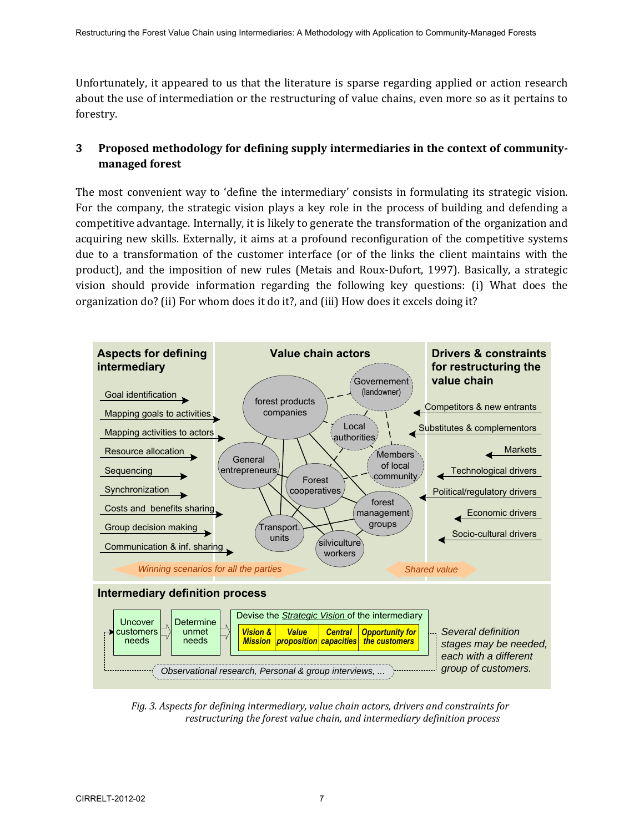Unfortunately, it appeared to us that the literature is sparse regarding applied or action research about the use of intermediation or the restructuring of value chains, even more so as it pertains to forestry.

# **3 Proposed methodology for defining supply intermediaries in the context of communitymanaged forest**

The most convenient way to 'define the intermediary' consists in formulating its strategic vision. For the company, the strategic vision plays a key role in the process of building and defending a competitive advantage. Internally, it is likely to generate the transformation of the organization and acquiring new skills. Externally, it aims at a profound reconfiguration of the competitive systems due to a transformation of the customer interface (or of the links the client maintains with the product), and the imposition of new rules (Metais and Roux-Dufort, 1997). Basically, a strategic vision should provide information regarding the following key questions: (i) What does the organization do? (ii) For whom does it do it?, and (iii) How does it excels doing it?



*Fig. 3. Aspects for defining intermediary, value chain actors, drivers and constraints for restructuring the forest value chain, and intermediary definition process*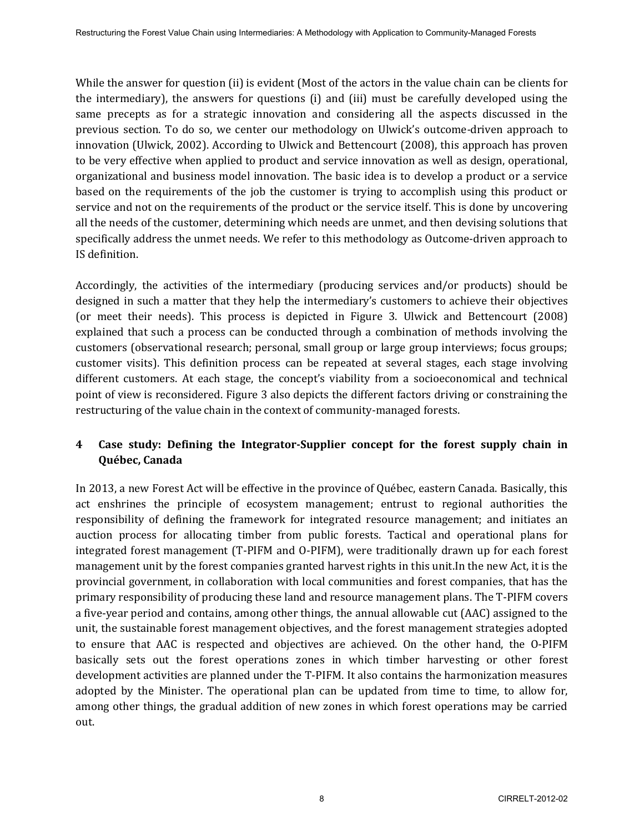While the answer for question (ii) is evident (Most of the actors in the value chain can be clients for the intermediary), the answers for questions (i) and (iii) must be carefully developed using the same precepts as for a strategic innovation and considering all the aspects discussed in the previous section. To do so, we center our methodology on Ulwick's outcome*-*driven approach to innovation (Ulwick, 2002). According to Ulwick and Bettencourt (2008), this approach has proven to be very effective when applied to product and service innovation as well as design, operational, organizational and business model innovation. The basic idea is to develop a product or a service based on the requirements of the job the customer is trying to accomplish using this product or service and not on the requirements of the product or the service itself. This is done by uncovering all the needs of the customer, determining which needs are unmet, and then devising solutions that specifically address the unmet needs. We refer to this methodology as Outcome-driven approach to IS definition.

Accordingly, the activities of the intermediary (producing services and/or products) should be designed in such a matter that they help the intermediary's customers to achieve their objectives (or meet their needs). This process is depicted in Figure 3. Ulwick and Bettencourt (2008) explained that such a process can be conducted through a combination of methods involving the customers (observational research; personal, small group or large group interviews; focus groups; customer visits). This definition process can be repeated at several stages, each stage involving different customers. At each stage, the concept's viability from a socioeconomical and technical point of view is reconsidered. Figure 3 also depicts the different factors driving or constraining the restructuring of the value chain in the context of community-managed forests.

# **4 Case study: Defining the Integrator-Supplier concept for the forest supply chain in Québec, Canada**

In 2013, a new Forest Act will be effective in the province of Québec, eastern Canada. Basically, this act enshrines the principle of ecosystem management; entrust to regional authorities the responsibility of defining the framework for integrated resource management; and initiates an auction process for allocating timber from public forests. Tactical and operational plans for integrated forest management (T-PIFM and O-PIFM), were traditionally drawn up for each forest management unit by the forest companies granted harvest rights in this unit.In the new Act, it is the provincial government, in collaboration with local communities and forest companies, that has the primary responsibility of producing these land and resource management plans. The T-PIFM covers a five-year period and contains, among other things, the annual allowable cut (AAC) assigned to the unit, the sustainable forest management objectives, and the forest management strategies adopted to ensure that AAC is respected and objectives are achieved. On the other hand, the O-PIFM basically sets out the forest operations zones in which timber harvesting or other forest development activities are planned under the T-PIFM. It also contains the harmonization measures adopted by the Minister. The operational plan can be updated from time to time, to allow for, among other things, the gradual addition of new zones in which forest operations may be carried out.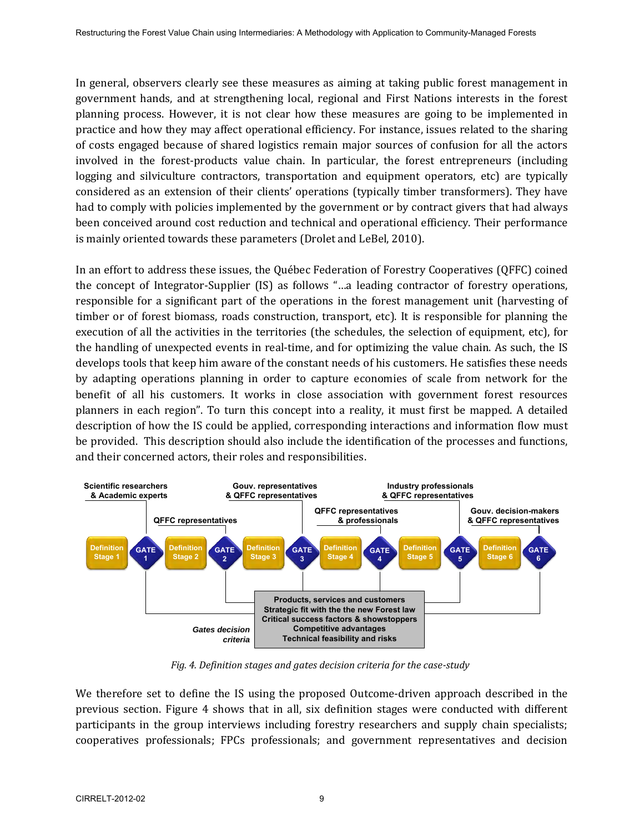In general, observers clearly see these measures as aiming at taking public forest management in government hands, and at strengthening local, regional and First Nations interests in the forest planning process. However, it is not clear how these measures are going to be implemented in practice and how they may affect operational efficiency. For instance, issues related to the sharing of costs engaged because of shared logistics remain major sources of confusion for all the actors involved in the forest-products value chain. In particular, the forest entrepreneurs (including logging and silviculture contractors, transportation and equipment operators, etc) are typically considered as an extension of their clients' operations (typically timber transformers). They have had to comply with policies implemented by the government or by contract givers that had always been conceived around cost reduction and technical and operational efficiency. Their performance is mainly oriented towards these parameters (Drolet and LeBel, 2010).

In an effort to address these issues, the Québec Federation of Forestry Cooperatives (QFFC) coined the concept of Integrator-Supplier (IS) as follows "…a leading contractor of forestry operations, responsible for a significant part of the operations in the forest management unit (harvesting of timber or of forest biomass, roads construction, transport, etc). It is responsible for planning the execution of all the activities in the territories (the schedules, the selection of equipment, etc), for the handling of unexpected events in real-time, and for optimizing the value chain. As such, the IS develops tools that keep him aware of the constant needs of his customers. He satisfies these needs by adapting operations planning in order to capture economies of scale from network for the benefit of all his customers. It works in close association with government forest resources planners in each region". To turn this concept into a reality, it must first be mapped. A detailed description of how the IS could be applied, corresponding interactions and information flow must be provided. This description should also include the identification of the processes and functions, and their concerned actors, their roles and responsibilities.



*Fig. 4. Definition stages and gates decision criteria for the case-study* 

We therefore set to define the IS using the proposed Outcome-driven approach described in the previous section. Figure 4 shows that in all, six definition stages were conducted with different participants in the group interviews including forestry researchers and supply chain specialists; cooperatives professionals; FPCs professionals; and government representatives and decision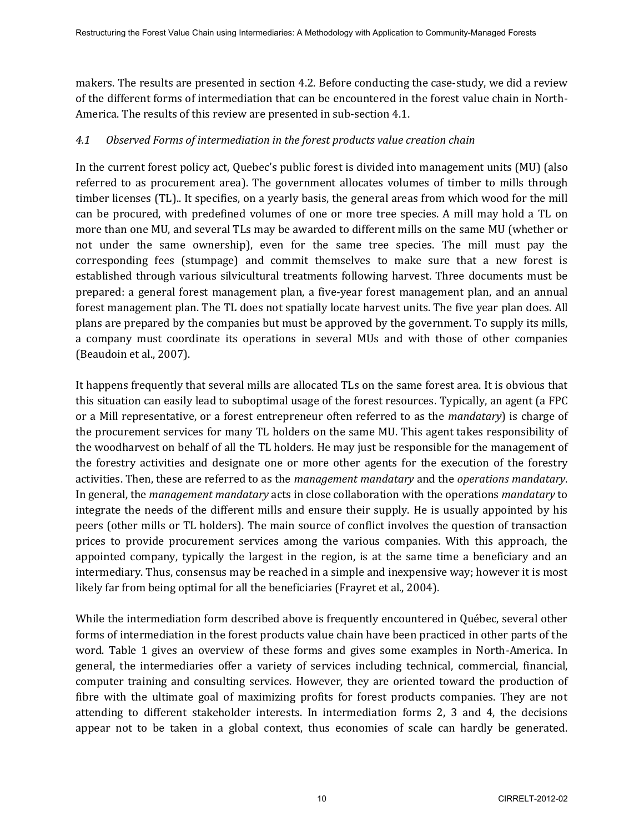makers. The results are presented in section 4.2. Before conducting the case-study, we did a review of the different forms of intermediation that can be encountered in the forest value chain in North-America. The results of this review are presented in sub-section 4.1.

### *4.1 Observed Forms of intermediation in the forest products value creation chain*

In the current forest policy act, Quebec's public forest is divided into management units (MU) (also referred to as procurement area). The government allocates volumes of timber to mills through timber licenses (TL).. It specifies, on a yearly basis, the general areas from which wood for the mill can be procured, with predefined volumes of one or more tree species. A mill may hold a TL on more than one MU, and several TLs may be awarded to different mills on the same MU (whether or not under the same ownership), even for the same tree species. The mill must pay the corresponding fees (stumpage) and commit themselves to make sure that a new forest is established through various silvicultural treatments following harvest. Three documents must be prepared: a general forest management plan, a five-year forest management plan, and an annual forest management plan. The TL does not spatially locate harvest units. The five year plan does. All plans are prepared by the companies but must be approved by the government. To supply its mills, a company must coordinate its operations in several MUs and with those of other companies (Beaudoin et al., 2007).

It happens frequently that several mills are allocated TLs on the same forest area. It is obvious that this situation can easily lead to suboptimal usage of the forest resources. Typically, an agent (a FPC or a Mill representative, or a forest entrepreneur often referred to as the *mandatary*) is charge of the procurement services for many TL holders on the same MU. This agent takes responsibility of the woodharvest on behalf of all the TL holders. He may just be responsible for the management of the forestry activities and designate one or more other agents for the execution of the forestry activities. Then, these are referred to as the *management mandatary* and the *operations mandatary*. In general, the *management mandatary* acts in close collaboration with the operations *mandatary* to integrate the needs of the different mills and ensure their supply. He is usually appointed by his peers (other mills or TL holders). The main source of conflict involves the question of transaction prices to provide procurement services among the various companies. With this approach, the appointed company, typically the largest in the region, is at the same time a beneficiary and an intermediary. Thus, consensus may be reached in a simple and inexpensive way; however it is most likely far from being optimal for all the beneficiaries (Frayret et al., 2004).

While the intermediation form described above is frequently encountered in Québec, several other forms of intermediation in the forest products value chain have been practiced in other parts of the word. Table 1 gives an overview of these forms and gives some examples in North-America. In general, the intermediaries offer a variety of services including technical, commercial, financial, computer training and consulting services. However, they are oriented toward the production of fibre with the ultimate goal of maximizing profits for forest products companies. They are not attending to different stakeholder interests. In intermediation forms 2, 3 and 4, the decisions appear not to be taken in a global context, thus economies of scale can hardly be generated.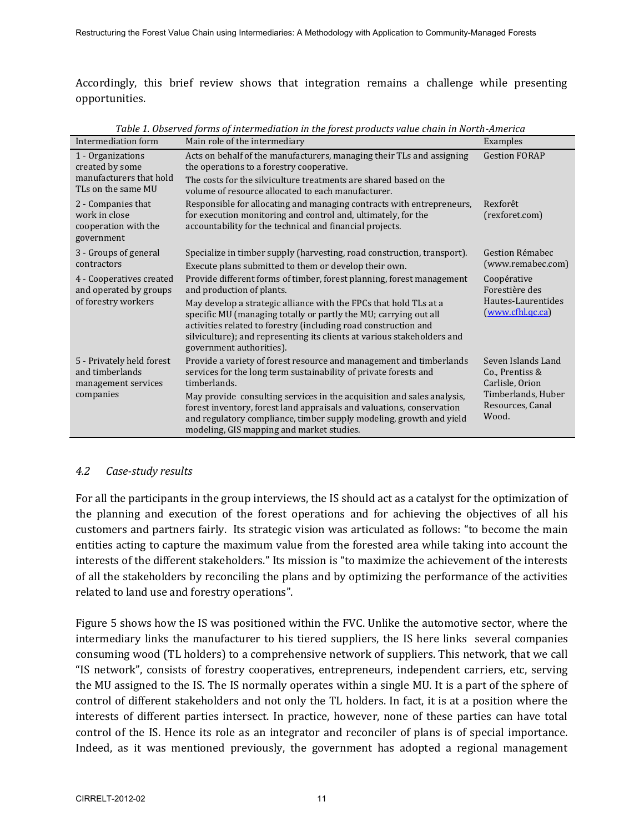Accordingly, this brief review shows that integration remains a challenge while presenting opportunities.

| Intermediation form                                                                   | Main role of the intermediary                                                                                                                                                                                                                                                                                   | Examples                                                                                                    |
|---------------------------------------------------------------------------------------|-----------------------------------------------------------------------------------------------------------------------------------------------------------------------------------------------------------------------------------------------------------------------------------------------------------------|-------------------------------------------------------------------------------------------------------------|
| 1 - Organizations<br>created by some<br>manufacturers that hold<br>TLs on the same MU | Acts on behalf of the manufacturers, managing their TLs and assigning<br>the operations to a forestry cooperative.                                                                                                                                                                                              | <b>Gestion FORAP</b>                                                                                        |
|                                                                                       | The costs for the silviculture treatments are shared based on the<br>volume of resource allocated to each manufacturer.                                                                                                                                                                                         |                                                                                                             |
| 2 - Companies that<br>work in close<br>cooperation with the<br>government             | Responsible for allocating and managing contracts with entrepreneurs,<br>for execution monitoring and control and, ultimately, for the<br>accountability for the technical and financial projects.                                                                                                              | Rexforêt<br>(rexforet.com)                                                                                  |
| 3 - Groups of general<br>contractors                                                  | Specialize in timber supply (harvesting, road construction, transport).<br>Execute plans submitted to them or develop their own.                                                                                                                                                                                | Gestion Rémabec<br>(www.remabec.com)                                                                        |
| 4 - Cooperatives created<br>and operated by groups<br>of forestry workers             | Provide different forms of timber, forest planning, forest management<br>and production of plants.                                                                                                                                                                                                              | Coopérative<br>Forestière des                                                                               |
|                                                                                       | May develop a strategic alliance with the FPCs that hold TLs at a<br>specific MU (managing totally or partly the MU; carrying out all<br>activities related to forestry (including road construction and<br>silviculture); and representing its clients at various stakeholders and<br>government authorities). | Hautes-Laurentides<br>(www.cfhl.qc.ca)                                                                      |
| 5 - Privately held forest<br>and timberlands<br>management services<br>companies      | Provide a variety of forest resource and management and timberlands<br>services for the long term sustainability of private forests and<br>timberlands.                                                                                                                                                         | Seven Islands Land<br>Co., Prentiss &<br>Carlisle, Orion<br>Timberlands, Huber<br>Resources, Canal<br>Wood. |
|                                                                                       | May provide consulting services in the acquisition and sales analysis,<br>forest inventory, forest land appraisals and valuations, conservation<br>and regulatory compliance, timber supply modeling, growth and yield<br>modeling, GIS mapping and market studies.                                             |                                                                                                             |

*Table 1. Observed forms of intermediation in the forest products value chain in North-America* 

#### *4.2 Case-study results*

For all the participants in the group interviews, the IS should act as a catalyst for the optimization of the planning and execution of the forest operations and for achieving the objectives of all his customers and partners fairly. Its strategic vision was articulated as follows: "to become the main entities acting to capture the maximum value from the forested area while taking into account the interests of the different stakeholders." Its mission is "to maximize the achievement of the interests of all the stakeholders by reconciling the plans and by optimizing the performance of the activities related to land use and forestry operations".

Figure 5 shows how the IS was positioned within the FVC. Unlike the automotive sector, where the intermediary links the manufacturer to his tiered suppliers, the IS here links several companies consuming wood (TL holders) to a comprehensive network of suppliers. This network, that we call "IS network", consists of forestry cooperatives, entrepreneurs, independent carriers, etc, serving the MU assigned to the IS. The IS normally operates within a single MU. It is a part of the sphere of control of different stakeholders and not only the TL holders. In fact, it is at a position where the interests of different parties intersect. In practice, however, none of these parties can have total control of the IS. Hence its role as an integrator and reconciler of plans is of special importance. Indeed, as it was mentioned previously, the government has adopted a regional management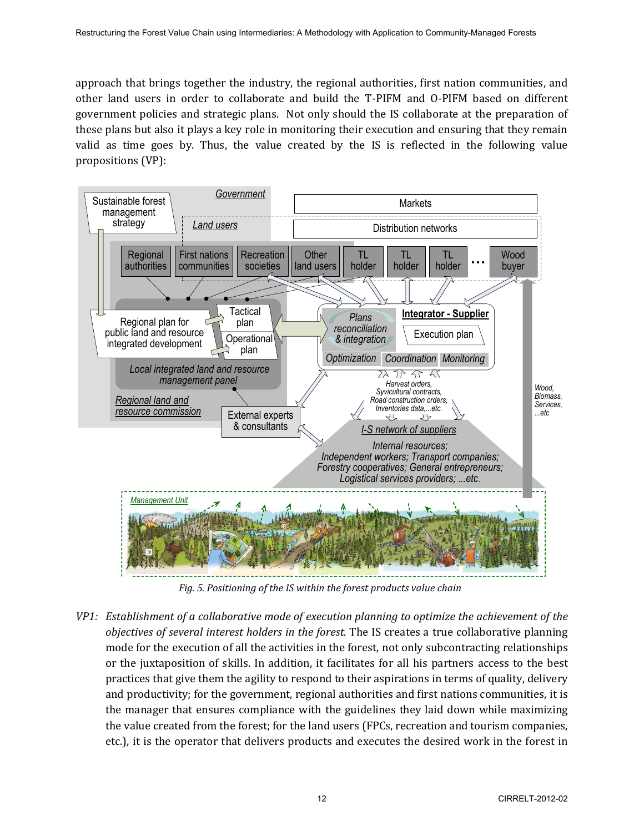approach that brings together the industry, the regional authorities, first nation communities, and other land users in order to collaborate and build the T-PIFM and O-PIFM based on different government policies and strategic plans. Not only should the IS collaborate at the preparation of these plans but also it plays a key role in monitoring their execution and ensuring that they remain valid as time goes by. Thus, the value created by the IS is reflected in the following value propositions (VP):



*Fig. 5. Positioning of the IS within the forest products value chain* 

*VP1: Establishment of a collaborative mode of execution planning to optimize the achievement of the objectives of several interest holders in the forest*. The IS creates a true collaborative planning mode for the execution of all the activities in the forest, not only subcontracting relationships or the juxtaposition of skills. In addition, it facilitates for all his partners access to the best practices that give them the agility to respond to their aspirations in terms of quality, delivery and productivity; for the government, regional authorities and first nations communities, it is the manager that ensures compliance with the guidelines they laid down while maximizing the value created from the forest; for the land users (FPCs, recreation and tourism companies, etc.), it is the operator that delivers products and executes the desired work in the forest in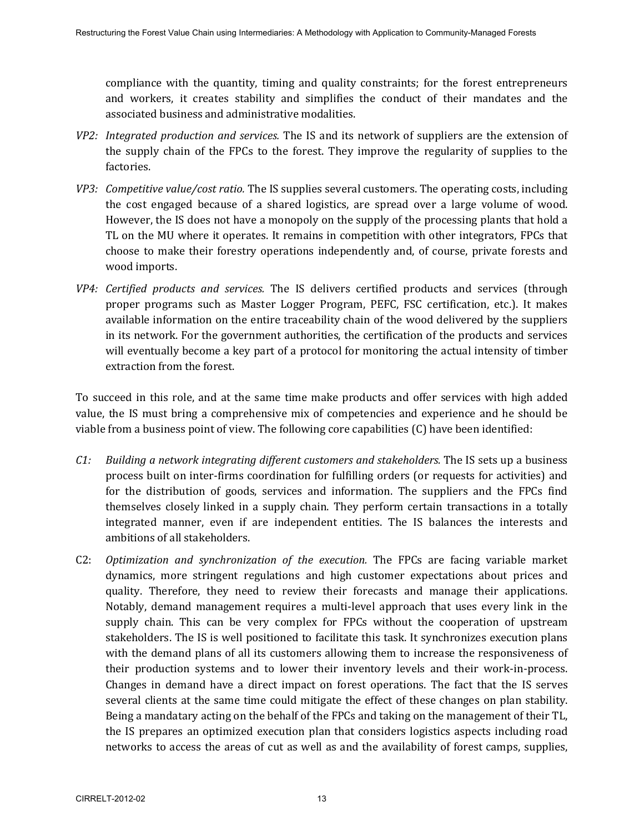compliance with the quantity, timing and quality constraints; for the forest entrepreneurs and workers, it creates stability and simplifies the conduct of their mandates and the associated business and administrative modalities.

- *VP2: Integrated production and services.* The IS and its network of suppliers are the extension of the supply chain of the FPCs to the forest. They improve the regularity of supplies to the factories.
- *VP3: Competitive value/cost ratio.* The IS supplies several customers. The operating costs, including the cost engaged because of a shared logistics, are spread over a large volume of wood. However, the IS does not have a monopoly on the supply of the processing plants that hold a TL on the MU where it operates. It remains in competition with other integrators, FPCs that choose to make their forestry operations independently and, of course, private forests and wood imports.
- *VP4: Certified products and services.* The IS delivers certified products and services (through proper programs such as Master Logger Program, PEFC, FSC certification, etc.). It makes available information on the entire traceability chain of the wood delivered by the suppliers in its network. For the government authorities, the certification of the products and services will eventually become a key part of a protocol for monitoring the actual intensity of timber extraction from the forest.

To succeed in this role, and at the same time make products and offer services with high added value, the IS must bring a comprehensive mix of competencies and experience and he should be viable from a business point of view. The following core capabilities (C) have been identified:

- *C1: Building a network integrating different customers and stakeholders.* The IS sets up a business process built on inter-firms coordination for fulfilling orders (or requests for activities) and for the distribution of goods, services and information. The suppliers and the FPCs find themselves closely linked in a supply chain. They perform certain transactions in a totally integrated manner, even if are independent entities. The IS balances the interests and ambitions of all stakeholders.
- C2: *Optimization and synchronization of the execution.* The FPCs are facing variable market dynamics, more stringent regulations and high customer expectations about prices and quality. Therefore, they need to review their forecasts and manage their applications. Notably, demand management requires a multi-level approach that uses every link in the supply chain. This can be very complex for FPCs without the cooperation of upstream stakeholders. The IS is well positioned to facilitate this task. It synchronizes execution plans with the demand plans of all its customers allowing them to increase the responsiveness of their production systems and to lower their inventory levels and their work-in-process. Changes in demand have a direct impact on forest operations. The fact that the IS serves several clients at the same time could mitigate the effect of these changes on plan stability. Being a mandatary acting on the behalf of the FPCs and taking on the management of their TL, the IS prepares an optimized execution plan that considers logistics aspects including road networks to access the areas of cut as well as and the availability of forest camps, supplies,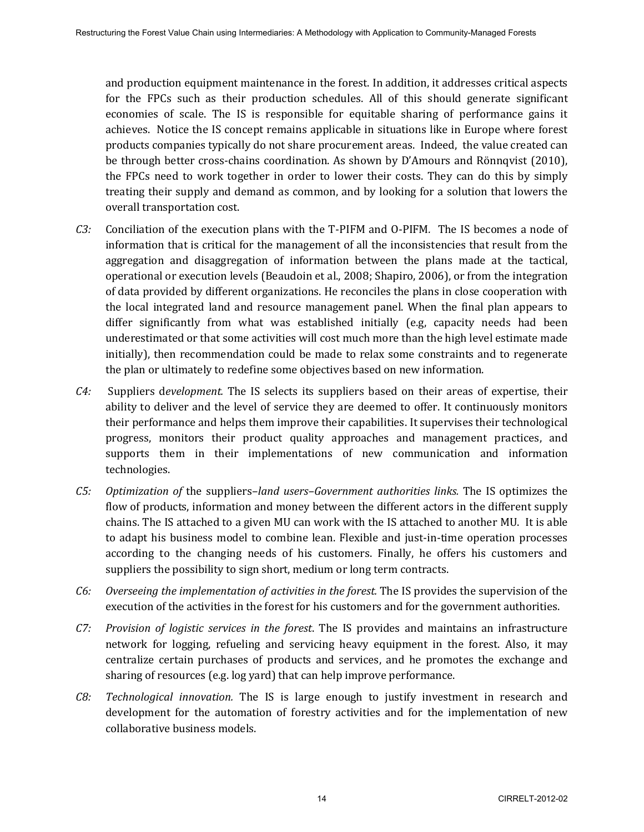and production equipment maintenance in the forest. In addition, it addresses critical aspects for the FPCs such as their production schedules. All of this should generate significant economies of scale. The IS is responsible for equitable sharing of performance gains it achieves. Notice the IS concept remains applicable in situations like in Europe where forest products companies typically do not share procurement areas. Indeed, the value created can be through better cross-chains coordination. As shown by D'Amours and Rönnqvist (2010), the FPCs need to work together in order to lower their costs. They can do this by simply treating their supply and demand as common, and by looking for a solution that lowers the overall transportation cost.

- *C3:* Conciliation of the execution plans with the T-PIFM and O-PIFM*.* The IS becomes a node of information that is critical for the management of all the inconsistencies that result from the aggregation and disaggregation of information between the plans made at the tactical, operational or execution levels (Beaudoin et al., 2008; Shapiro, 2006), or from the integration of data provided by different organizations. He reconciles the plans in close cooperation with the local integrated land and resource management panel. When the final plan appears to differ significantly from what was established initially (e.g, capacity needs had been underestimated or that some activities will cost much more than the high level estimate made initially), then recommendation could be made to relax some constraints and to regenerate the plan or ultimately to redefine some objectives based on new information.
- *C4:* Suppliers d*evelopment.* The IS selects its suppliers based on their areas of expertise, their ability to deliver and the level of service they are deemed to offer. It continuously monitors their performance and helps them improve their capabilities. It supervises their technological progress, monitors their product quality approaches and management practices, and supports them in their implementations of new communication and information technologies.
- *C5: Optimization of* the suppliers–*land users–Government authorities links.* The IS optimizes the flow of products, information and money between the different actors in the different supply chains. The IS attached to a given MU can work with the IS attached to another MU. It is able to adapt his business model to combine lean. Flexible and just-in-time operation processes according to the changing needs of his customers. Finally, he offers his customers and suppliers the possibility to sign short, medium or long term contracts.
- *C6: Overseeing the implementation of activities in the forest.* The IS provides the supervision of the execution of the activities in the forest for his customers and for the government authorities.
- *C7: Provision of logistic services in the forest*. The IS provides and maintains an infrastructure network for logging, refueling and servicing heavy equipment in the forest. Also, it may centralize certain purchases of products and services, and he promotes the exchange and sharing of resources (e.g. log yard) that can help improve performance.
- *C8: Technological innovation.* The IS is large enough to justify investment in research and development for the automation of forestry activities and for the implementation of new collaborative business models.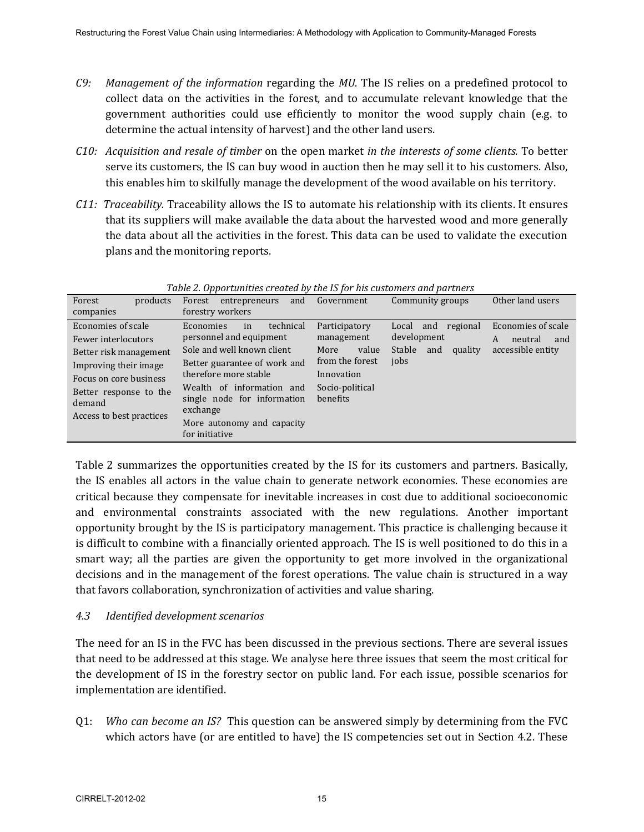- *C9: Management of the information* regarding the *MU.* The IS relies on a predefined protocol to collect data on the activities in the forest, and to accumulate relevant knowledge that the government authorities could use efficiently to monitor the wood supply chain (e.g. to determine the actual intensity of harvest) and the other land users.
- *C10: Acquisition and resale of timber* on the open market *in the interests of some clients.* To better serve its customers, the IS can buy wood in auction then he may sell it to his customers. Also, this enables him to skilfully manage the development of the wood available on his territory.
- *C11: Traceability.* Traceability allows the IS to automate his relationship with its clients. It ensures that its suppliers will make available the data about the harvested wood and more generally the data about all the activities in the forest. This data can be used to validate the execution plans and the monitoring reports.

| Forest<br>products<br>companies                                                                                                                                                        | entrepreneurs<br>Forest<br>and<br>forestry workers                                                                                                                                                                                                                        | Government                                                                                                   | Community groups                                                                | Other land users                                               |
|----------------------------------------------------------------------------------------------------------------------------------------------------------------------------------------|---------------------------------------------------------------------------------------------------------------------------------------------------------------------------------------------------------------------------------------------------------------------------|--------------------------------------------------------------------------------------------------------------|---------------------------------------------------------------------------------|----------------------------------------------------------------|
| Economies of scale<br>Fewer interlocutors<br>Better risk management<br>Improving their image<br>Focus on core business<br>Better response to the<br>demand<br>Access to best practices | technical<br>Economies<br>in<br>personnel and equipment<br>Sole and well known client<br>Better guarantee of work and<br>therefore more stable<br>Wealth of information<br>and<br>single node for information<br>exchange<br>More autonomy and capacity<br>for initiative | Participatory<br>management<br>value<br>More<br>from the forest<br>Innovation<br>Socio-political<br>benefits | and regional<br>Local<br>development<br><b>Stable</b><br>quality<br>and<br>jobs | Economies of scale<br>A<br>neutral<br>and<br>accessible entity |

*Table 2. Opportunities created by the IS for his customers and partners* 

Table 2 summarizes the opportunities created by the IS for its customers and partners. Basically, the IS enables all actors in the value chain to generate network economies. These economies are critical because they compensate for inevitable increases in cost due to additional socioeconomic and environmental constraints associated with the new regulations. Another important opportunity brought by the IS is participatory management. This practice is challenging because it is difficult to combine with a financially oriented approach. The IS is well positioned to do this in a smart way; all the parties are given the opportunity to get more involved in the organizational decisions and in the management of the forest operations. The value chain is structured in a way that favors collaboration, synchronization of activities and value sharing.

### *4.3 Identified development scenarios*

The need for an IS in the FVC has been discussed in the previous sections. There are several issues that need to be addressed at this stage. We analyse here three issues that seem the most critical for the development of IS in the forestry sector on public land. For each issue, possible scenarios for implementation are identified.

Q1: *Who can become an IS?* This question can be answered simply by determining from the FVC which actors have (or are entitled to have) the IS competencies set out in Section 4.2. These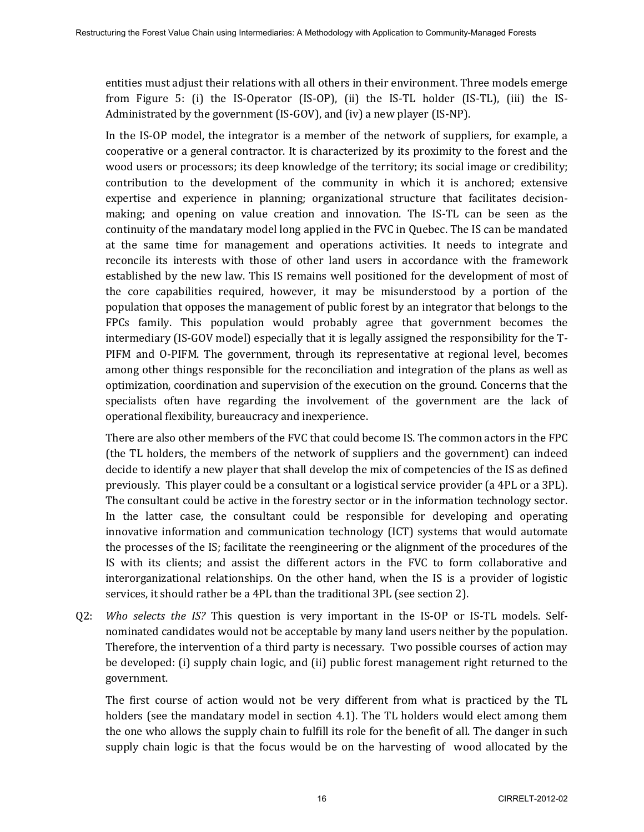entities must adjust their relations with all others in their environment. Three models emerge from Figure 5: (i) the IS-Operator (IS-OP), (ii) the IS-TL holder (IS-TL), (iii) the IS-Administrated by the government (IS-GOV), and (iv) a new player (IS-NP).

In the IS-OP model, the integrator is a member of the network of suppliers, for example, a cooperative or a general contractor. It is characterized by its proximity to the forest and the wood users or processors; its deep knowledge of the territory; its social image or credibility; contribution to the development of the community in which it is anchored; extensive expertise and experience in planning; organizational structure that facilitates decisionmaking; and opening on value creation and innovation. The IS-TL can be seen as the continuity of the mandatary model long applied in the FVC in Quebec. The IS can be mandated at the same time for management and operations activities. It needs to integrate and reconcile its interests with those of other land users in accordance with the framework established by the new law. This IS remains well positioned for the development of most of the core capabilities required, however, it may be misunderstood by a portion of the population that opposes the management of public forest by an integrator that belongs to the FPCs family. This population would probably agree that government becomes the intermediary (IS-GOV model) especially that it is legally assigned the responsibility for the T-PIFM and O-PIFM. The government, through its representative at regional level, becomes among other things responsible for the reconciliation and integration of the plans as well as optimization, coordination and supervision of the execution on the ground. Concerns that the specialists often have regarding the involvement of the government are the lack of operational flexibility, bureaucracy and inexperience.

There are also other members of the FVC that could become IS. The common actors in the FPC (the TL holders, the members of the network of suppliers and the government) can indeed decide to identify a new player that shall develop the mix of competencies of the IS as defined previously. This player could be a consultant or a logistical service provider (a 4PL or a 3PL). The consultant could be active in the forestry sector or in the information technology sector. In the latter case, the consultant could be responsible for developing and operating innovative information and communication technology (ICT) systems that would automate the processes of the IS; facilitate the reengineering or the alignment of the procedures of the IS with its clients; and assist the different actors in the FVC to form collaborative and interorganizational relationships. On the other hand, when the IS is a provider of logistic services, it should rather be a 4PL than the traditional 3PL (see section 2).

Q2: *Who selects the IS?* This question is very important in the IS-OP or IS-TL models. Selfnominated candidates would not be acceptable by many land users neither by the population. Therefore, the intervention of a third party is necessary. Two possible courses of action may be developed: (i) supply chain logic, and (ii) public forest management right returned to the government.

 The first course of action would not be very different from what is practiced by the TL holders (see the mandatary model in section 4.1). The TL holders would elect among them the one who allows the supply chain to fulfill its role for the benefit of all. The danger in such supply chain logic is that the focus would be on the harvesting of wood allocated by the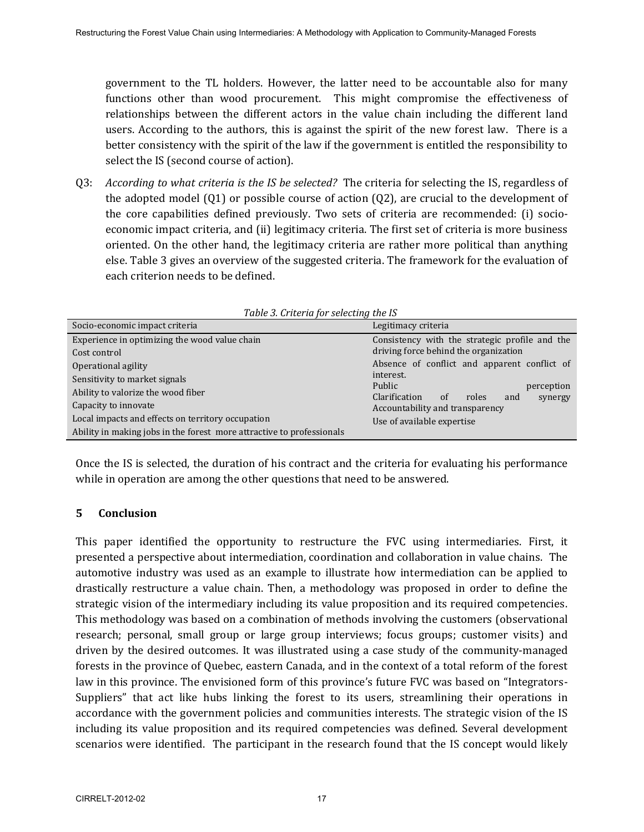government to the TL holders. However, the latter need to be accountable also for many functions other than wood procurement. This might compromise the effectiveness of relationships between the different actors in the value chain including the different land users. According to the authors, this is against the spirit of the new forest law. There is a better consistency with the spirit of the law if the government is entitled the responsibility to select the IS (second course of action).

Q3: *According to what criteria is the IS be selected?* The criteria for selecting the IS, regardless of the adopted model (Q1) or possible course of action (Q2), are crucial to the development of the core capabilities defined previously. Two sets of criteria are recommended: (i) socioeconomic impact criteria, and (ii) legitimacy criteria. The first set of criteria is more business oriented. On the other hand, the legitimacy criteria are rather more political than anything else. Table 3 gives an overview of the suggested criteria. The framework for the evaluation of each criterion needs to be defined.

| <i>rapic 5. Criteria for selecting the 15</i>                         |                                                                                         |  |  |  |
|-----------------------------------------------------------------------|-----------------------------------------------------------------------------------------|--|--|--|
| Socio-economic impact criteria                                        | Legitimacy criteria                                                                     |  |  |  |
| Experience in optimizing the wood value chain<br>Cost control         | Consistency with the strategic profile and the<br>driving force behind the organization |  |  |  |
| Operational agility                                                   | Absence of conflict and apparent conflict of                                            |  |  |  |
| Sensitivity to market signals<br>Ability to valorize the wood fiber   | interest.<br>Public<br>perception<br>Clarification<br>roles<br>and<br>of<br>synergy     |  |  |  |
| Capacity to innovate                                                  | Accountability and transparency<br>Use of available expertise                           |  |  |  |
| Local impacts and effects on territory occupation                     |                                                                                         |  |  |  |
| Ability in making jobs in the forest more attractive to professionals |                                                                                         |  |  |  |

*Table 3. Criteria for selecting the IS* 

Once the IS is selected, the duration of his contract and the criteria for evaluating his performance while in operation are among the other questions that need to be answered.

#### **5 Conclusion**

This paper identified the opportunity to restructure the FVC using intermediaries. First, it presented a perspective about intermediation, coordination and collaboration in value chains. The automotive industry was used as an example to illustrate how intermediation can be applied to drastically restructure a value chain. Then, a methodology was proposed in order to define the strategic vision of the intermediary including its value proposition and its required competencies. This methodology was based on a combination of methods involving the customers (observational research; personal, small group or large group interviews; focus groups; customer visits) and driven by the desired outcomes. It was illustrated using a case study of the community-managed forests in the province of Quebec, eastern Canada, and in the context of a total reform of the forest law in this province. The envisioned form of this province's future FVC was based on "Integrators-Suppliers" that act like hubs linking the forest to its users, streamlining their operations in accordance with the government policies and communities interests. The strategic vision of the IS including its value proposition and its required competencies was defined. Several development scenarios were identified. The participant in the research found that the IS concept would likely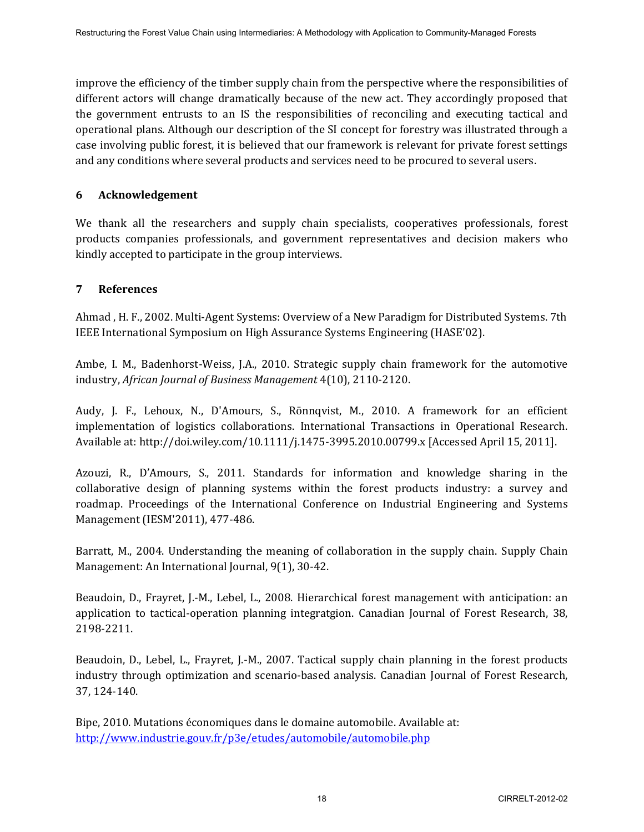improve the efficiency of the timber supply chain from the perspective where the responsibilities of different actors will change dramatically because of the new act. They accordingly proposed that the government entrusts to an IS the responsibilities of reconciling and executing tactical and operational plans. Although our description of the SI concept for forestry was illustrated through a case involving public forest, it is believed that our framework is relevant for private forest settings and any conditions where several products and services need to be procured to several users.

### **6 Acknowledgement**

We thank all the researchers and supply chain specialists, cooperatives professionals, forest products companies professionals, and government representatives and decision makers who kindly accepted to participate in the group interviews.

# **7 References**

Ahmad , H. F., 2002. Multi-Agent Systems: Overview of a New Paradigm for Distributed Systems. 7th IEEE International Symposium on High Assurance Systems Engineering (HASE'02).

Ambe, I. M., Badenhorst-Weiss, J.A., 2010. Strategic supply chain framework for the automotive industry, *African Journal of Business Management* 4(10), 2110-2120.

Audy, J. F., Lehoux, N., D'Amours, S., Rönnqvist, M., 2010. A framework for an efficient implementation of logistics collaborations. International Transactions in Operational Research. Available at: http://doi.wiley.com/10.1111/j.1475-3995.2010.00799.x [Accessed April 15, 2011].

Azouzi, R., D'Amours, S., 2011. Standards for information and knowledge sharing in the collaborative design of planning systems within the forest products industry: a survey and roadmap. Proceedings of the International Conference on Industrial Engineering and Systems Management (IESM'2011), 477-486.

Barratt, M., 2004. Understanding the meaning of collaboration in the supply chain. Supply Chain Management: An International Journal, 9(1), 30-42.

Beaudoin, D., Frayret, J.-M., Lebel, L., 2008. Hierarchical forest management with anticipation: an application to tactical-operation planning integratgion. Canadian Journal of Forest Research, 38, 2198-2211.

Beaudoin, D., Lebel, L., Frayret, J.-M., 2007. Tactical supply chain planning in the forest products industry through optimization and scenario-based analysis. Canadian Journal of Forest Research, 37, 124-140.

Bipe, 2010. Mutations économiques dans le domaine automobile. Available at: <http://www.industrie.gouv.fr/p3e/etudes/automobile/automobile.php>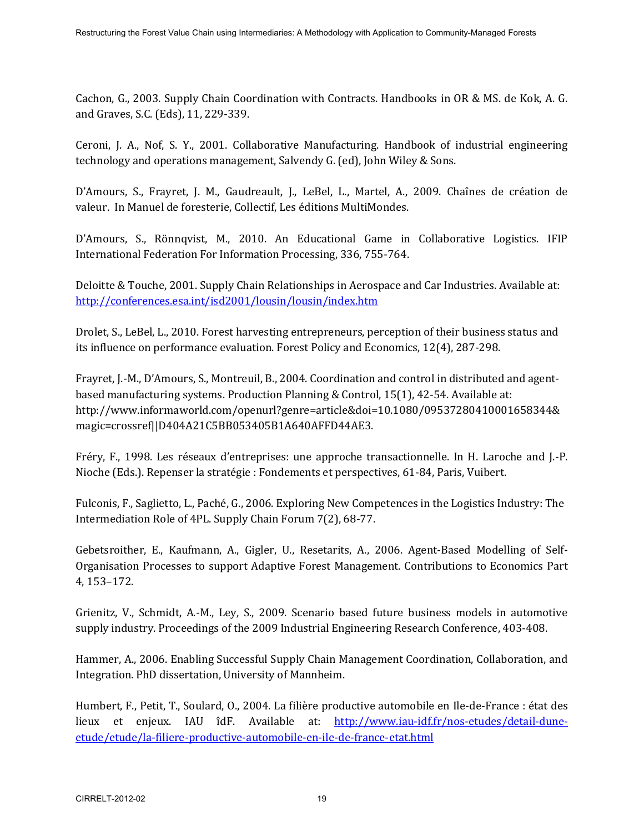Cachon, G., 2003. Supply Chain Coordination with Contracts. Handbooks in OR & MS. de Kok, A. G. and Graves, S.C. (Eds), 11, 229-339.

Ceroni, J. A., Nof, S. Y., 2001. Collaborative Manufacturing. Handbook of industrial engineering technology and operations management, Salvendy G. (ed), John Wiley & Sons.

D'Amours, S., Frayret, J. M., Gaudreault, J., LeBel, L., Martel, A., 2009. Chaînes de création de valeur. In Manuel de foresterie, Collectif, Les éditions MultiMondes.

D'Amours, S., Rönnqvist, M., 2010. An Educational Game in Collaborative Logistics. IFIP International Federation For Information Processing, 336, 755-764.

Deloitte & Touche, 2001. Supply Chain Relationships in Aerospace and Car Industries. Available at: <http://conferences.esa.int/isd2001/lousin/lousin/index.htm>

Drolet, S., LeBel, L., 2010. Forest harvesting entrepreneurs, perception of their business status and its influence on performance evaluation. Forest Policy and Economics, 12(4), 287-298.

Frayret, J.-M., D'Amours, S., Montreuil, B., 2004. Coordination and control in distributed and agentbased manufacturing systems. Production Planning & Control, 15(1), 42-54. Available at: http://www.informaworld.com/openurl?genre=article&doi=10.1080/09537280410001658344& magic=crossref||D404A21C5BB053405B1A640AFFD44AE3.

Fréry, F., 1998. Les réseaux d'entreprises: une approche transactionnelle. In H. Laroche and J.-P. Nioche (Eds.). Repenser la stratégie : Fondements et perspectives, 61-84, Paris, Vuibert.

Fulconis, F., Saglietto, L., Paché, G., 2006. Exploring New Competences in the Logistics Industry: The Intermediation Role of 4PL. Supply Chain Forum 7(2), 68-77.

Gebetsroither, E., Kaufmann, A., Gigler, U., Resetarits, A., 2006. Agent-Based Modelling of Self-Organisation Processes to support Adaptive Forest Management. Contributions to Economics Part 4, 153–172.

Grienitz, V., Schmidt, A.-M., Ley, S., 2009. Scenario based future business models in automotive supply industry. Proceedings of the 2009 Industrial Engineering Research Conference, 403-408.

Hammer, A., 2006. Enabling Successful Supply Chain Management Coordination, Collaboration, and Integration. PhD dissertation, University of Mannheim.

Humbert, F., Petit, T., Soulard, O., 2004. La filière productive automobile en Ile-de-France : état des lieux et enjeux. IAU îdF. Available at: [http://www.iau-idf.fr/nos-etudes/detail-dune](http://www.iau-idf.fr/nos-etudes/detail-dune-etude/etude/la-filiere-productive-automobile-en-ile-de-france-etat.html)[etude/etude/la-filiere-productive-automobile-en-ile-de-france-etat.html](http://www.iau-idf.fr/nos-etudes/detail-dune-etude/etude/la-filiere-productive-automobile-en-ile-de-france-etat.html)